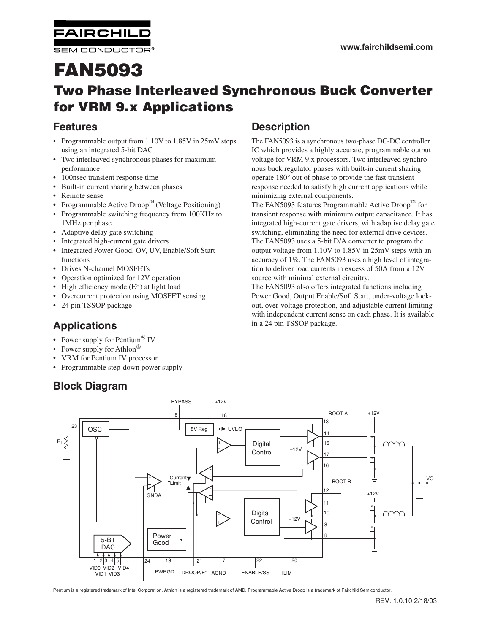SEMICONDUCTOR®

**FAIRCHILD** 

# **FAN5093 Two Phase Interleaved Synchronous Buck Converter for VRM 9.x Applications**

## **Features**

- Programmable output from 1.10V to 1.85V in 25mV steps using an integrated 5-bit DAC
- Two interleaved synchronous phases for maximum performance
- 100nsec transient response time
- Built-in current sharing between phases
- Remote sense
- Programmable Active Droop<sup>TM</sup> (Voltage Positioning)
- Programmable switching frequency from 100KHz to 1MHz per phase
- Adaptive delay gate switching
- Integrated high-current gate drivers
- Integrated Power Good, OV, UV, Enable/Soft Start functions
- Drives N-channel MOSFETs
- Operation optimized for 12V operation
- High efficiency mode  $(E^*)$  at light load
- Overcurrent protection using MOSFET sensing
- 24 pin TSSOP package

# **Applications**

- Power supply for Pentium $\mathscr{B}$  IV
- Power supply for Athlon<sup>®</sup>
- VRM for Pentium IV processor
- Programmable step-down power supply

# **Block Diagram**

## **Description**

The FAN5093 is a synchronous two-phase DC-DC controller IC which provides a highly accurate, programmable output voltage for VRM 9.x processors. Two interleaved synchronous buck regulator phases with built-in current sharing operate 180° out of phase to provide the fast transient response needed to satisfy high current applications while minimizing external components.

The FAN5093 features Programmable Active Droop<sup>TM</sup> for transient response with minimum output capacitance. It has integrated high-current gate drivers, with adaptive delay gate switching, eliminating the need for external drive devices. The FAN5093 uses a 5-bit D/A converter to program the output voltage from 1.10V to 1.85V in 25mV steps with an accuracy of 1%. The FAN5093 uses a high level of integration to deliver load currents in excess of 50A from a 12V source with minimal external circuitry.

The FAN5093 also offers integrated functions including Power Good, Output Enable/Soft Start, under-voltage lockout, over-voltage protection, and adjustable current limiting with independent current sense on each phase. It is available in a 24 pin TSSOP package.



Pentium is a registered trademark of Intel Corporation. Athlon is a registered trademark of AMD. Programmable Active Droop is a trademark of Fairchild Semiconductor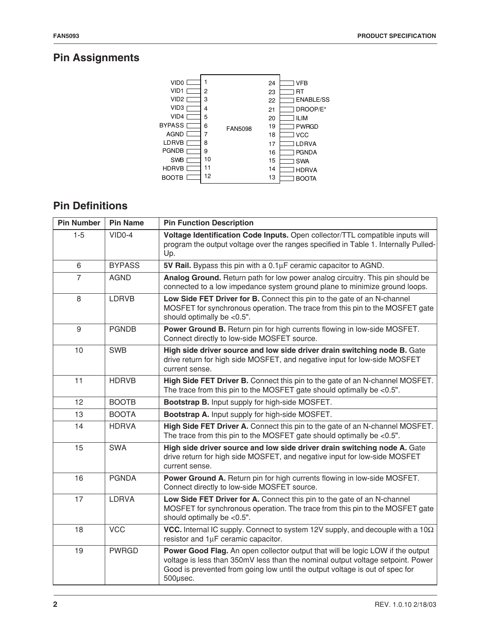# **Pin Assignments**



# **Pin Definitions**

| <b>Pin Number</b> | <b>Pin Name</b> | <b>Pin Function Description</b>                                                                                                                                                                                                                               |  |  |
|-------------------|-----------------|---------------------------------------------------------------------------------------------------------------------------------------------------------------------------------------------------------------------------------------------------------------|--|--|
| $1-5$             | $VIDO-4$        | Voltage Identification Code Inputs. Open collector/TTL compatible inputs will<br>program the output voltage over the ranges specified in Table 1. Internally Pulled-<br>Up.                                                                                   |  |  |
| 6                 | <b>BYPASS</b>   | 5V Rail. Bypass this pin with a 0.1µF ceramic capacitor to AGND.                                                                                                                                                                                              |  |  |
| $\overline{7}$    | <b>AGND</b>     | Analog Ground. Return path for low power analog circuitry. This pin should be<br>connected to a low impedance system ground plane to minimize ground loops.                                                                                                   |  |  |
| 8                 | LDRVB           | Low Side FET Driver for B. Connect this pin to the gate of an N-channel<br>MOSFET for synchronous operation. The trace from this pin to the MOSFET gate<br>should optimally be <0.5".                                                                         |  |  |
| $9\,$             | <b>PGNDB</b>    | Power Ground B. Return pin for high currents flowing in low-side MOSFET.<br>Connect directly to low-side MOSFET source.                                                                                                                                       |  |  |
| 10                | <b>SWB</b>      | High side driver source and low side driver drain switching node B. Gate<br>drive return for high side MOSFET, and negative input for low-side MOSFET<br>current sense.                                                                                       |  |  |
| 11                | <b>HDRVB</b>    | High Side FET Driver B. Connect this pin to the gate of an N-channel MOSFET.<br>The trace from this pin to the MOSFET gate should optimally be $< 0.5$ ".                                                                                                     |  |  |
| 12                | <b>BOOTB</b>    | Bootstrap B. Input supply for high-side MOSFET.                                                                                                                                                                                                               |  |  |
| 13                | <b>BOOTA</b>    | Bootstrap A. Input supply for high-side MOSFET.                                                                                                                                                                                                               |  |  |
| 14                | <b>HDRVA</b>    | High Side FET Driver A. Connect this pin to the gate of an N-channel MOSFET.<br>The trace from this pin to the MOSFET gate should optimally be $< 0.5$ ".                                                                                                     |  |  |
| 15                | <b>SWA</b>      | High side driver source and low side driver drain switching node A. Gate<br>drive return for high side MOSFET, and negative input for low-side MOSFET<br>current sense.                                                                                       |  |  |
| 16                | <b>PGNDA</b>    | Power Ground A. Return pin for high currents flowing in low-side MOSFET.<br>Connect directly to low-side MOSFET source.                                                                                                                                       |  |  |
| 17                | LDRVA           | Low Side FET Driver for A. Connect this pin to the gate of an N-channel<br>MOSFET for synchronous operation. The trace from this pin to the MOSFET gate<br>should optimally be <0.5".                                                                         |  |  |
| 18                | <b>VCC</b>      | VCC. Internal IC supply. Connect to system 12V supply, and decouple with a $10\Omega$<br>resistor and 1µF ceramic capacitor.                                                                                                                                  |  |  |
| 19                | <b>PWRGD</b>    | Power Good Flag. An open collector output that will be logic LOW if the output<br>voltage is less than 350mV less than the nominal output voltage setpoint. Power<br>Good is prevented from going low until the output voltage is out of spec for<br>500µsec. |  |  |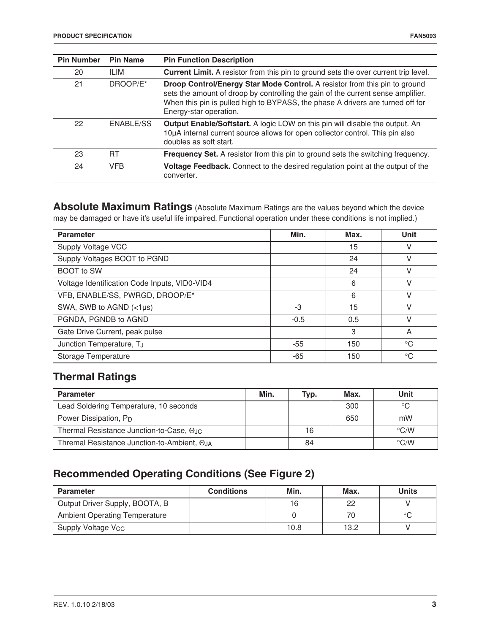| <b>Pin Number</b> | <b>Pin Name</b>  | <b>Pin Function Description</b>                                                                                                                                                                                                                                            |
|-------------------|------------------|----------------------------------------------------------------------------------------------------------------------------------------------------------------------------------------------------------------------------------------------------------------------------|
| 20                | ILIM             | <b>Current Limit.</b> A resistor from this pin to ground sets the over current trip level.                                                                                                                                                                                 |
| 21                | DROOP/E*         | Droop Control/Energy Star Mode Control. A resistor from this pin to ground<br>sets the amount of droop by controlling the gain of the current sense amplifier.<br>When this pin is pulled high to BYPASS, the phase A drivers are turned off for<br>Energy-star operation. |
| 22                | <b>ENABLE/SS</b> | Output Enable/Softstart. A logic LOW on this pin will disable the output. An<br>10µA internal current source allows for open collector control. This pin also<br>doubles as soft start.                                                                                    |
| 23                | <b>RT</b>        | Frequency Set. A resistor from this pin to ground sets the switching frequency.                                                                                                                                                                                            |
| 24                | <b>VFB</b>       | Voltage Feedback. Connect to the desired regulation point at the output of the<br>converter.                                                                                                                                                                               |

**Absolute Maximum Ratings** (Absolute Maximum Ratings are the values beyond which the device may be damaged or have it's useful life impaired. Functional operation under these conditions is not implied.)

| <b>Parameter</b>                              | Min.   | Max. | <b>Unit</b>  |
|-----------------------------------------------|--------|------|--------------|
| Supply Voltage VCC                            |        | 15   |              |
| Supply Voltages BOOT to PGND                  |        | 24   | V            |
| <b>BOOT</b> to SW                             |        | 24   | V            |
| Voltage Identification Code Inputs, VID0-VID4 |        | 6    | V            |
| VFB, ENABLE/SS, PWRGD, DROOP/E*               |        | 6    | V            |
| SWA, SWB to AGND $(<1 \mu s)$                 | $-3$   | 15   | V            |
| PGNDA, PGNDB to AGND                          | $-0.5$ | 0.5  |              |
| Gate Drive Current, peak pulse                |        | 3    | A            |
| Junction Temperature, TJ                      | -55    | 150  | $^{\circ}$ C |
| Storage Temperature                           | -65    | 150  | $^{\circ}C$  |

# **Thermal Ratings**

| <b>Parameter</b>                            | Min. | Typ. | Max. | Unit               |
|---------------------------------------------|------|------|------|--------------------|
| Lead Soldering Temperature, 10 seconds      |      |      | 300  | °C                 |
| Power Dissipation, P <sub>D</sub>           |      |      | 650  | mW                 |
| Thermal Resistance Junction-to-Case, OJC    |      | 16   |      | $\rm ^{\circ}$ C/W |
| Thremal Resistance Junction-to-Ambient, OJA |      | 84   |      | $\rm ^{\circ}$ C/W |

# **Recommended Operating Conditions (See Figure 2)**

| <b>Parameter</b>                     | <b>Conditions</b> | Min. | Max. | <b>Units</b> |
|--------------------------------------|-------------------|------|------|--------------|
| Output Driver Supply, BOOTA, B       |                   | 16   | 22   |              |
| <b>Ambient Operating Temperature</b> |                   |      | 70   |              |
| Supply Voltage V <sub>CC</sub>       |                   | 10.8 | 13.2 |              |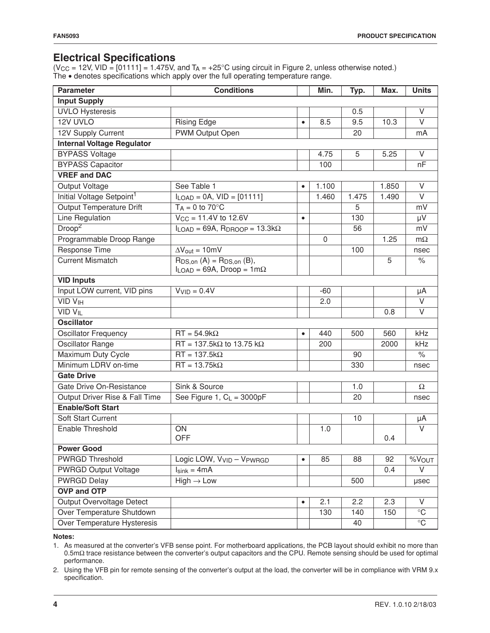## **Electrical Specifications**

(V $_{\rm CC}$  = 12V, VID = [01111] = 1.475V, and T $_{\rm A}$  = +25°C using circuit in Figure 2, unless otherwise noted.) The • denotes specifications which apply over the full operating temperature range.

| <b>Parameter</b>                      | <b>Conditions</b>                                                                 |           | Min.  | Typ.  | Max.  | <b>Units</b>      |
|---------------------------------------|-----------------------------------------------------------------------------------|-----------|-------|-------|-------|-------------------|
| <b>Input Supply</b>                   |                                                                                   |           |       |       |       |                   |
| <b>UVLO Hysteresis</b>                |                                                                                   |           |       | 0.5   |       | V                 |
| 12V UVLO                              | <b>Rising Edge</b>                                                                | $\bullet$ | 8.5   | 9.5   | 10.3  | $\vee$            |
| 12V Supply Current                    | <b>PWM Output Open</b>                                                            |           |       | 20    |       | mA                |
| <b>Internal Voltage Regulator</b>     |                                                                                   |           |       |       |       |                   |
| <b>BYPASS Voltage</b>                 |                                                                                   |           | 4.75  | 5     | 5.25  | V                 |
| <b>BYPASS Capacitor</b>               |                                                                                   |           | 100   |       |       | nF                |
| <b>VREF and DAC</b>                   |                                                                                   |           |       |       |       |                   |
| <b>Output Voltage</b>                 | See Table 1                                                                       | $\bullet$ | 1.100 |       | 1.850 | $\vee$            |
| Initial Voltage Setpoint <sup>1</sup> | $I_{LOAD} = 0A$ , $VID = [01111]$                                                 |           | 1.460 | 1.475 | 1.490 | V                 |
| <b>Output Temperature Drift</b>       | $T_A = 0$ to 70 $\degree$ C                                                       |           |       | 5     |       | mV                |
| Line Regulation                       | $V_{CC} = 11.4V$ to 12.6V                                                         | $\bullet$ |       | 130   |       | μV                |
| Droop <sup>2</sup>                    | $I_{LOAD} = 69A$ , R <sub>DROOP</sub> = 13.3k $\Omega$                            |           |       | 56    |       | mV                |
| Programmable Droop Range              |                                                                                   |           | 0     |       | 1.25  | $m\Omega$         |
| <b>Response Time</b>                  | $\Delta V_{\text{out}} = 10 \text{mV}$                                            |           |       | 100   |       | nsec              |
| <b>Current Mismatch</b>               | $R_{DS,on}$ $(A)$ = $R_{DS,on}$ $(B)$ ,<br>$I_{LOAD} = 69A$ , Droop = 1m $\Omega$ |           |       |       | 5     | $\%$              |
| <b>VID Inputs</b>                     |                                                                                   |           |       |       |       |                   |
| Input LOW current, VID pins           | $VVID = 0.4V$                                                                     |           | -60   |       |       | μA                |
| <b>VID VIH</b>                        |                                                                                   |           | 2.0   |       |       | V                 |
| <b>VID VIL</b>                        |                                                                                   |           |       |       | 0.8   | V                 |
| <b>Oscillator</b>                     |                                                                                   |           |       |       |       |                   |
| <b>Oscillator Frequency</b>           | $RT = 54.9k\Omega$                                                                | $\bullet$ | 440   | 500   | 560   | kHz               |
| <b>Oscillator Range</b>               | $RT = 137.5k\Omega$ to 13.75 k $\Omega$                                           |           | 200   |       | 2000  | kHz               |
| Maximum Duty Cycle                    | $RT = 137.5k\Omega$                                                               |           |       | 90    |       | $\%$              |
| Minimum LDRV on-time                  | $RT = 13.75k\Omega$                                                               |           |       | 330   |       | nsec              |
| <b>Gate Drive</b>                     |                                                                                   |           |       |       |       |                   |
| Gate Drive On-Resistance              | Sink & Source                                                                     |           |       | 1.0   |       | $\Omega$          |
| Output Driver Rise & Fall Time        | See Figure 1, $C_L = 3000pF$                                                      |           |       | 20    |       | nsec              |
| <b>Enable/Soft Start</b>              |                                                                                   |           |       |       |       |                   |
| Soft Start Current                    |                                                                                   |           |       | 10    |       | μA                |
| Enable Threshold                      | ON                                                                                |           | 1.0   |       |       | $\vee$            |
|                                       | <b>OFF</b>                                                                        |           |       |       | 0.4   |                   |
| <b>Power Good</b>                     |                                                                                   |           |       |       |       |                   |
| <b>PWRGD Threshold</b>                | Logic LOW, V <sub>VID</sub> - V <sub>PWRGD</sub>                                  | $\bullet$ | 85    | 88    | 92    | $\sqrt[6]{}$ VOUT |
| <b>PWRGD Output Voltage</b>           | $I_{\text{sink}} = 4 \text{mA}$                                                   |           |       |       | 0.4   | V                 |
| <b>PWRGD Delay</b>                    | $High \rightarrow Low$                                                            |           |       | 500   |       | usec              |
| <b>OVP and OTP</b>                    |                                                                                   |           |       |       |       |                   |
| <b>Output Overvoltage Detect</b>      |                                                                                   | $\bullet$ | 2.1   | 2.2   | 2.3   | V                 |
| Over Temperature Shutdown             |                                                                                   |           | 130   | 140   | 150   | $^{\circ}{\rm C}$ |
| Over Temperature Hysteresis           |                                                                                   |           |       | 40    |       | $\overline{C}$    |

#### **Notes:**

1. As measured at the converter's VFB sense point. For motherboard applications, the PCB layout should exhibit no more than 0.5mΩ trace resistance between the converter's output capacitors and the CPU. Remote sensing should be used for optimal performance.

2. Using the VFB pin for remote sensing of the converter's output at the load, the converter will be in compliance with VRM 9.x specification.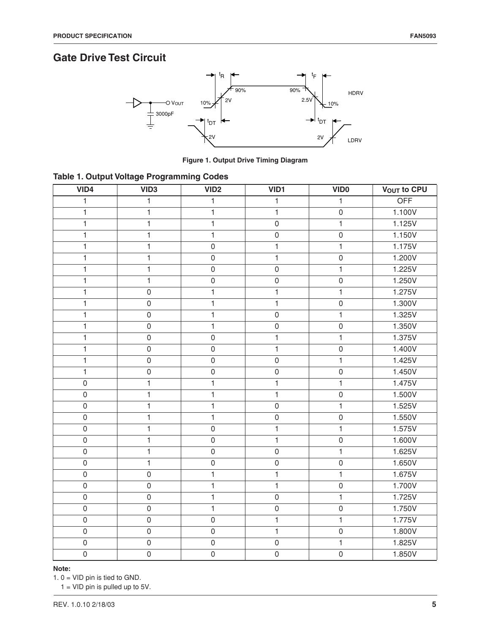# **Gate Drive Test Circuit**



**Figure 1. Output Drive Timing Diagram**

|  |  | Table 1. Output Voltage Programming Codes |  |
|--|--|-------------------------------------------|--|
|  |  |                                           |  |

| VID4                | VID <sub>3</sub>    | VID <sub>2</sub>    | VID1                | <b>VIDO</b>         | <b>VOUT to CPU</b> |
|---------------------|---------------------|---------------------|---------------------|---------------------|--------------------|
| $\mathbf{1}$        | $\mathbf{1}$        | 1                   | $\mathbf{1}$        | 1                   | <b>OFF</b>         |
| $\mathbf{1}$        | $\mathbf{1}$        | 1                   | $\mathbf{1}$        | $\mathsf{O}\xspace$ | 1.100V             |
| $\mathbf{1}$        | $\mathbf{1}$        | 1                   | $\mathsf{O}\xspace$ | $\mathbf{1}$        | 1.125V             |
| $\mathbf{1}$        | $\mathbf{1}$        | $\mathbf{1}$        | $\mathsf 0$         | $\mathsf{O}\xspace$ | 1.150V             |
| $\mathbf{1}$        | $\mathbf{1}$        | $\mathbf 0$         | $\mathbf{1}$        | $\mathbf{1}$        | 1.175V             |
| $\mathbf{1}$        | $\mathbf{1}$        | $\mathsf{O}\xspace$ | $\mathbf{1}$        | $\mathsf{O}\xspace$ | 1.200V             |
| $\mathbf{1}$        | $\mathbf{1}$        | $\mathsf{O}\xspace$ | $\mathsf{O}\xspace$ | $\mathbf{1}$        | 1.225V             |
| $\mathbf{1}$        | $\mathbf{1}$        | $\mathsf{O}\xspace$ | $\mathsf{O}\xspace$ | $\mathsf{O}\xspace$ | 1.250V             |
| $\mathbf{1}$        | $\mathbf 0$         | 1                   | $\mathbf{1}$        | $\mathbf{1}$        | 1.275V             |
| $\mathbf{1}$        | $\mathsf 0$         | 1                   | $\mathbf{1}$        | $\mathsf{O}\xspace$ | 1.300V             |
| $\mathbf{1}$        | $\mathsf 0$         | 1                   | $\mathsf 0$         | $\mathbf{1}$        | 1.325V             |
| $\mathbf{1}$        | $\mathsf 0$         | 1                   | $\mathsf 0$         | $\mathsf{O}\xspace$ | 1.350V             |
| $\mathbf{1}$        | $\mathbf 0$         | $\mathbf 0$         | $\mathbf{1}$        | $\mathbf{1}$        | 1.375V             |
| $\mathbf{1}$        | $\mathsf{O}\xspace$ | $\mathsf{O}\xspace$ | $\mathbf{1}$        | $\mathsf{O}\xspace$ | 1.400V             |
| $\mathbf{1}$        | $\mathsf 0$         | $\mathsf 0$         | $\mathsf{O}\xspace$ | $\mathbf{1}$        | 1.425V             |
| $\mathbf{1}$        | $\mathsf 0$         | $\mathsf 0$         | $\mathsf 0$         | $\mathsf{O}\xspace$ | 1.450V             |
| $\mathbf 0$         | $\mathbf{1}$        | 1                   | $\mathbf{1}$        | $\mathbf{1}$        | 1.475V             |
| $\mathsf{O}\xspace$ | $\mathbf{1}$        | $\mathbf{1}$        | $\mathbf{1}$        | $\mathsf{O}\xspace$ | 1.500V             |
| $\mathsf{O}\xspace$ | $\mathbf{1}$        | 1                   | $\mathsf{O}\xspace$ | $\mathbf{1}$        | 1.525V             |
| $\mathsf{O}\xspace$ | $\mathbf{1}$        | $\mathbf{1}$        | $\mathsf 0$         | $\mathsf{O}\xspace$ | 1.550V             |
| $\mathsf{O}$        | $\mathbf{1}$        | $\mathbf 0$         | $\mathbf{1}$        | $\mathbf{1}$        | 1.575V             |
| $\overline{0}$      | $\mathbf{1}$        | $\mathsf{O}\xspace$ | $\mathbf{1}$        | $\mathsf{O}\xspace$ | 1.600V             |
| $\mathsf{O}\xspace$ | $\mathbf{1}$        | $\mathsf{O}\xspace$ | $\mathsf 0$         | $\mathbf{1}$        | 1.625V             |
| $\mathsf{O}\xspace$ | $\mathbf{1}$        | $\mathsf 0$         | $\mathsf 0$         | $\mathsf{O}\xspace$ | 1.650V             |
| $\overline{0}$      | $\mathbf 0$         | $\mathbf{1}$        | $\mathbf{1}$        | $\mathbf{1}$        | 1.675V             |
| $\mathsf{O}\xspace$ | $\mathsf{O}\xspace$ | 1                   | $\mathbf{1}$        | $\mathsf{O}\xspace$ | 1.700V             |
| $\mathsf{O}\xspace$ | $\mathsf 0$         | 1                   | $\mathsf 0$         | $\mathbf{1}$        | 1.725V             |
| $\mathsf{O}\xspace$ | $\mathbf 0$         | 1                   | $\mathsf{O}\xspace$ | $\mathsf{O}\xspace$ | 1.750V             |
| $\mathsf{O}\xspace$ | $\mathsf{O}\xspace$ | $\mathsf{O}\xspace$ | $\mathbf{1}$        | $\mathbf{1}$        | 1.775V             |
| $\mathsf{O}\xspace$ | $\mathsf{O}\xspace$ | $\mathbf 0$         | $\mathbf{1}$        | $\mathsf{O}\xspace$ | 1.800V             |
| $\mathsf{O}\xspace$ | $\mathsf 0$         | $\mathsf 0$         | $\mathsf 0$         | $\mathbf{1}$        | 1.825V             |
| $\mathsf{O}$        | $\mathsf{O}\xspace$ | $\mathsf{O}\xspace$ | $\mathbf 0$         | $\mathsf{O}\xspace$ | 1.850V             |

#### **Note:**

1. 0 = VID pin is tied to GND.

 $1 =$  VID pin is pulled up to 5V.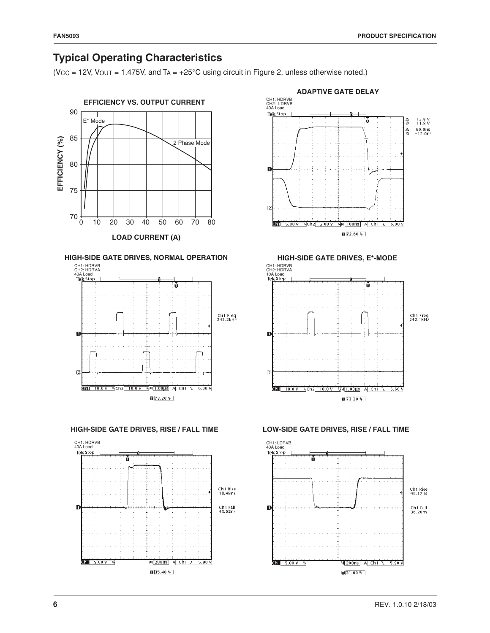# **Typical Operating Characteristics**

( $V_{CC}$  = 12V,  $V_{OUT}$  = 1.475V, and  $T_A$  = +25°C using circuit in Figure 2, unless otherwise noted.)



M 200ns A Ch1 / 5.90 V

 $\sqrt{35.40\%}$ 





 $\frac{1}{2}$  =  $\frac{1}{2}$  =  $\frac{1}{2}$  =  $\frac{1}{2}$  =  $\frac{1}{2}$  =  $\frac{1}{2}$  =  $\frac{1}{2}$  =  $\frac{1}{2}$  =  $\frac{1}{2}$  =  $\frac{1}{2}$  =  $\frac{1}{2}$  =  $\frac{1}{2}$  =  $\frac{1}{2}$  =  $\frac{1}{2}$  =  $\frac{1}{2}$  =  $\frac{1}{2}$  =  $\frac{1}{2}$  =  $\frac{1}{2}$  =  $\frac{1$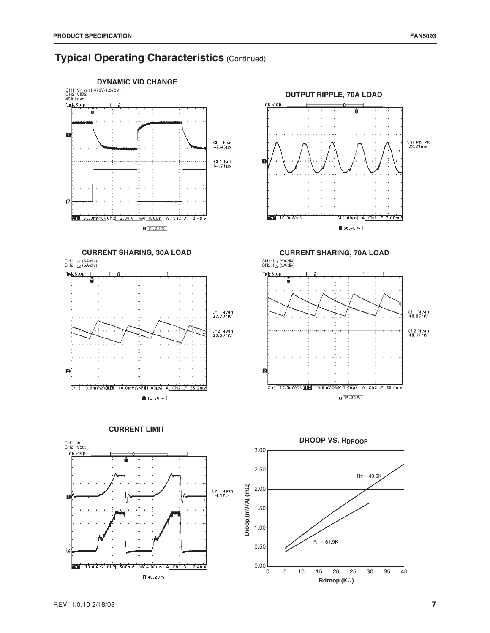## **Typical Operating Characteristics (Continued)**

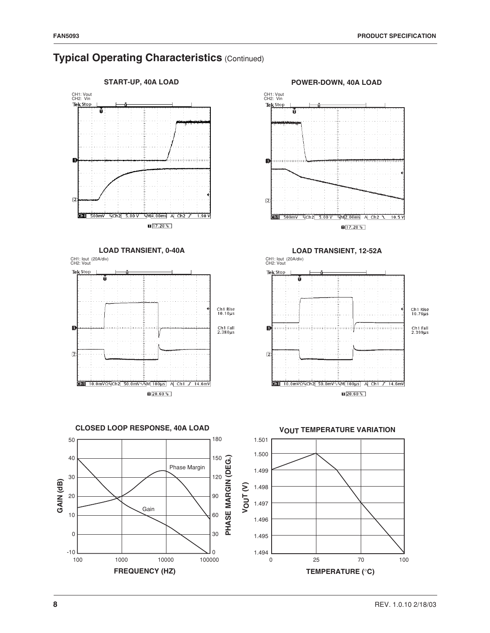

## **Typical Operating Characteristics (Continued)**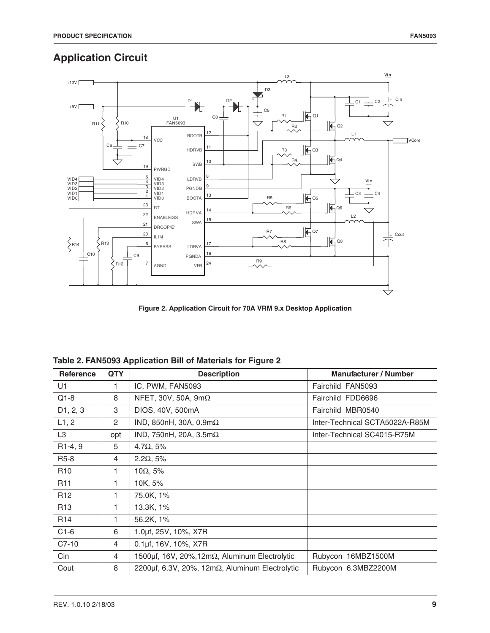# **Application Circuit**



**Figure 2. Application Circuit for 70A VRM 9.x Desktop Application**

| <b>Reference</b>      | <b>QTY</b> | <b>Description</b>                                           | <b>Manufacturer / Number</b>   |
|-----------------------|------------|--------------------------------------------------------------|--------------------------------|
| U1                    | 1.         | IC, PWM, FAN5093                                             | Fairchild FAN5093              |
| $Q1-8$                | 8          | NFET, 30V, 50A, $9m\Omega$                                   | Fairchild FDD6696              |
| D <sub>1</sub> , 2, 3 | 3          | DIOS, 40V, 500mA                                             | Fairchild MBR0540              |
| L1, 2                 | 2          | IND, 850nH, 30A, $0.9m\Omega$                                | Inter-Technical SCTA5022A-R85M |
| L <sub>3</sub>        | opt        | IND, 750nH, 20A, $3.5m\Omega$                                | Inter-Technical SC4015-R75M    |
| R1-4, 9               | 5          | 4.7 $\Omega$ , 5%                                            |                                |
| R5-8                  | 4          | $2.2\Omega$ , 5%                                             |                                |
| R <sub>10</sub>       | 1          | $10\Omega$ , 5%                                              |                                |
| R <sub>11</sub>       | 1          | 10K, 5%                                                      |                                |
| R <sub>12</sub>       | 1          | 75.0K, 1%                                                    |                                |
| R <sub>13</sub>       | 1          | 13.3K, 1%                                                    |                                |
| R <sub>14</sub>       | 1          | 56.2K, 1%                                                    |                                |
| $C1-6$                | 6          | 1.0µf, 25V, 10%, X7R                                         |                                |
| $C7-10$               | 4          | $0.1 \mu f$ , 16V, 10%, X7R                                  |                                |
| Cin                   | 4          | 1500 $\mu$ f, 16V, 20%, 12m $\Omega$ , Aluminum Electrolytic | Rubycon 16MBZ1500M             |
| Cout                  | 8          | 2200µf, 6.3V, 20%, 12m $\Omega$ , Aluminum Electrolytic      | Rubycon 6.3MBZ2200M            |

## **Table 2. FAN5093 Application Bill of Materials for Figure 2**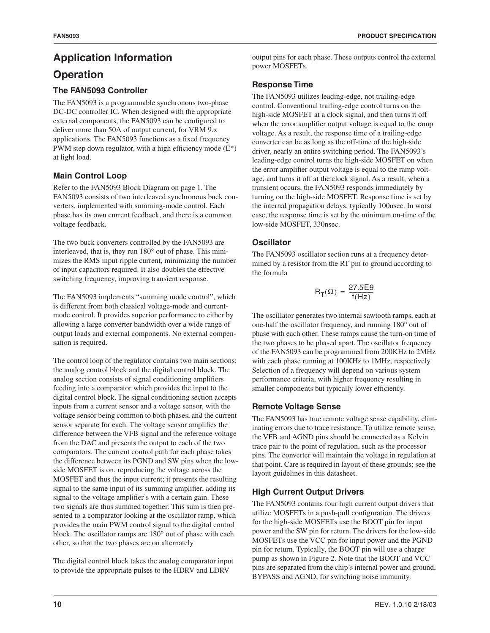# **Application Information**

# **Operation**

## **The FAN5093 Controller**

The FAN5093 is a programmable synchronous two-phase DC-DC controller IC. When designed with the appropriate external components, the FAN5093 can be configured to deliver more than 50A of output current, for VRM 9.x applications. The FAN5093 functions as a fixed frequency PWM step down regulator, with a high efficiency mode  $(E^*)$ at light load.

## **Main Control Loop**

Refer to the FAN5093 Block Diagram on page 1. The FAN5093 consists of two interleaved synchronous buck converters, implemented with summing-mode control. Each phase has its own current feedback, and there is a common voltage feedback.

The two buck converters controlled by the FAN5093 are interleaved, that is, they run 180° out of phase. This minimizes the RMS input ripple current, minimizing the number of input capacitors required. It also doubles the effective switching frequency, improving transient response.

The FAN5093 implements "summing mode control", which is different from both classical voltage-mode and currentmode control. It provides superior performance to either by allowing a large converter bandwidth over a wide range of output loads and external components. No external compensation is required.

The control loop of the regulator contains two main sections: the analog control block and the digital control block. The analog section consists of signal conditioning amplifiers feeding into a comparator which provides the input to the digital control block. The signal conditioning section accepts inputs from a current sensor and a voltage sensor, with the voltage sensor being common to both phases, and the current sensor separate for each. The voltage sensor amplifies the difference between the VFB signal and the reference voltage from the DAC and presents the output to each of the two comparators. The current control path for each phase takes the difference between its PGND and SW pins when the lowside MOSFET is on, reproducing the voltage across the MOSFET and thus the input current; it presents the resulting signal to the same input of its summing amplifier, adding its signal to the voltage amplifier's with a certain gain. These two signals are thus summed together. This sum is then presented to a comparator looking at the oscillator ramp, which provides the main PWM control signal to the digital control block. The oscillator ramps are 180° out of phase with each other, so that the two phases are on alternately.

The digital control block takes the analog comparator input to provide the appropriate pulses to the HDRV and LDRV

## **Response Time**

The FAN5093 utilizes leading-edge, not trailing-edge control. Conventional trailing-edge control turns on the high-side MOSFET at a clock signal, and then turns it off when the error amplifier output voltage is equal to the ramp voltage. As a result, the response time of a trailing-edge converter can be as long as the off-time of the high-side driver, nearly an entire switching period. The FAN5093's leading-edge control turns the high-side MOSFET on when the error amplifier output voltage is equal to the ramp voltage, and turns it off at the clock signal. As a result, when a transient occurs, the FAN5093 responds immediately by turning on the high-side MOSFET. Response time is set by the internal propagation delays, typically 100nsec. In worst case, the response time is set by the minimum on-time of the low-side MOSFET, 330nsec.

## **Oscillator**

The FAN5093 oscillator section runs at a frequency determined by a resistor from the RT pin to ground according to the formula

$$
R_T(\Omega) = \frac{27.5E9}{f(Hz)}
$$

The oscillator generates two internal sawtooth ramps, each at one-half the oscillator frequency, and running 180° out of phase with each other. These ramps cause the turn-on time of the two phases to be phased apart. The oscillator frequency of the FAN5093 can be programmed from 200KHz to 2MHz with each phase running at 100KHz to 1MHz, respectively. Selection of a frequency will depend on various system performance criteria, with higher frequency resulting in smaller components but typically lower efficiency.

## **Remote Voltage Sense**

The FAN5093 has true remote voltage sense capability, eliminating errors due to trace resistance. To utilize remote sense, the VFB and AGND pins should be connected as a Kelvin trace pair to the point of regulation, such as the processor pins. The converter will maintain the voltage in regulation at that point. Care is required in layout of these grounds; see the layout guidelines in this datasheet.

## **High Current Output Drivers**

The FAN5093 contains four high current output drivers that utilize MOSFETs in a push-pull configuration. The drivers for the high-side MOSFETs use the BOOT pin for input power and the SW pin for return. The drivers for the low-side MOSFETs use the VCC pin for input power and the PGND pin for return. Typically, the BOOT pin will use a charge pump as shown in Figure 2. Note that the BOOT and VCC pins are separated from the chip's internal power and ground, BYPASS and AGND, for switching noise immunity.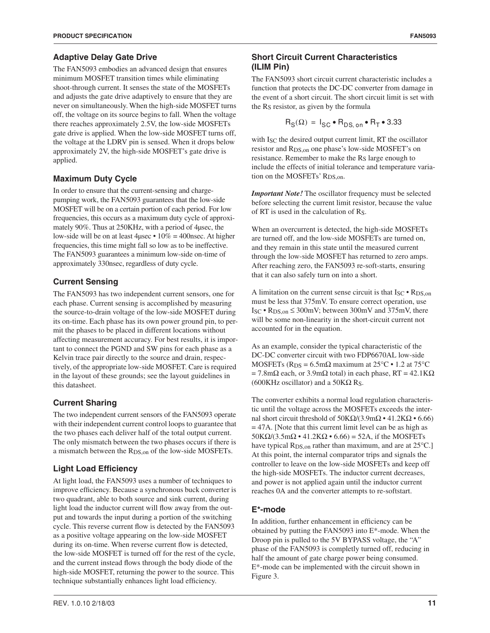The FAN5093 embodies an advanced design that ensures minimum MOSFET transition times while eliminating shoot-through current. It senses the state of the MOSFETs and adjusts the gate drive adaptively to ensure that they are never on simultaneously. When the high-side MOSFET turns off, the voltage on its source begins to fall. When the voltage there reaches approximately 2.5V, the low-side MOSFETs gate drive is applied. When the low-side MOSFET turns off, the voltage at the LDRV pin is sensed. When it drops below approximately 2V, the high-side MOSFET's gate drive is applied.

## **Maximum Duty Cycle**

In order to ensure that the current-sensing and chargepumping work, the FAN5093 guarantees that the low-side MOSFET will be on a certain portion of each period. For low frequencies, this occurs as a maximum duty cycle of approximately 90%. Thus at 250KHz, with a period of 4µsec, the low-side will be on at least 4µsec • 10% = 400nsec. At higher frequencies, this time might fall so low as to be ineffective. The FAN5093 guarantees a minimum low-side on-time of approximately 330nsec, regardless of duty cycle.

## **Current Sensing**

The FAN5093 has two independent current sensors, one for each phase. Current sensing is accomplished by measuring the source-to-drain voltage of the low-side MOSFET during its on-time. Each phase has its own power ground pin, to permit the phases to be placed in different locations without affecting measurement accuracy. For best results, it is important to connect the PGND and SW pins for each phase as a Kelvin trace pair directly to the source and drain, respectively, of the appropriate low-side MOSFET. Care is required in the layout of these grounds; see the layout guidelines in this datasheet.

## **Current Sharing**

The two independent current sensors of the FAN5093 operate with their independent current control loops to guarantee that the two phases each deliver half of the total output current. The only mismatch between the two phases occurs if there is a mismatch between the RDS,on of the low-side MOSFETs.

## **Light Load Efficiency**

At light load, the FAN5093 uses a number of techniques to improve efficiency. Because a synchronous buck converter is two quadrant, able to both source and sink current, during light load the inductor current will flow away from the output and towards the input during a portion of the switching cycle. This reverse current flow is detected by the FAN5093 as a positive voltage appearing on the low-side MOSFET during its on-time. When reverse current flow is detected, the low-side MOSFET is turned off for the rest of the cycle, and the current instead flows through the body diode of the high-side MOSFET, returning the power to the source. This technique substantially enhances light load efficiency.

The FAN5093 short circuit current characteristic includes a function that protects the DC-DC converter from damage in the event of a short circuit. The short circuit limit is set with the R<sub>S</sub> resistor, as given by the formula

$$
R_S(\Omega) = I_{SC} \bullet R_{DS, on} \bullet R_T \bullet 3.33
$$

with I<sub>SC</sub> the desired output current limit, RT the oscillator resistor and RDS,on one phase's low-side MOSFET's on resistance. Remember to make the R<sub>S</sub> large enough to include the effects of initial tolerance and temperature variation on the MOSFETs' RDS,on.

*Important Note!* The oscillator frequency must be selected before selecting the current limit resistor, because the value of RT is used in the calculation of RS.

When an overcurrent is detected, the high-side MOSFETs are turned off, and the low-side MOSFETs are turned on, and they remain in this state until the measured current through the low-side MOSFET has returned to zero amps. After reaching zero, the FAN5093 re-soft-starts, ensuring that it can also safely turn on into a short.

A limitation on the current sense circuit is that  $I_{SC} \cdot R_{DS,on}$ must be less that 375mV. To ensure correct operation, use  $I_{SC}$  •  $R_{DS,on} \leq 300$ mV; between 300mV and 375mV, there will be some non-linearity in the short-circuit current not accounted for in the equation.

As an example, consider the typical characteristic of the DC-DC converter circuit with two FDP6670AL low-side MOSFETs ( $R_{DS} = 6.5$ m $\Omega$  maximum at 25°C • 1.2 at 75°C  $= 7.8$ mΩ each, or 3.9mΩ total) in each phase, RT = 42.1KΩ (600KHz oscillator) and a 50K $\Omega$  Rs.

The converter exhibits a normal load regulation characteristic until the voltage across the MOSFETs exceeds the internal short circuit threshold of  $50KΩ/(3.9mΩ \cdot 41.2KΩ \cdot 6.66)$ = 47A. [Note that this current limit level can be as high as  $50K\Omega/(3.5m\Omega \cdot 41.2K\Omega \cdot 6.66) = 52A$ , if the MOSFETs have typical R<sub>DS,on</sub> rather than maximum, and are at 25°C.] At this point, the internal comparator trips and signals the controller to leave on the low-side MOSFETs and keep off the high-side MOSFETs. The inductor current decreases, and power is not applied again until the inductor current reaches 0A and the converter attempts to re-softstart.

## **E\*-mode**

In addition, further enhancement in efficiency can be obtained by putting the FAN5093 into E\*-mode. When the Droop pin is pulled to the 5V BYPASS voltage, the "A" phase of the FAN5093 is completly turned off, reducing in half the amount of gate charge power being consumed. E\*-mode can be implemented with the circuit shown in Figure 3.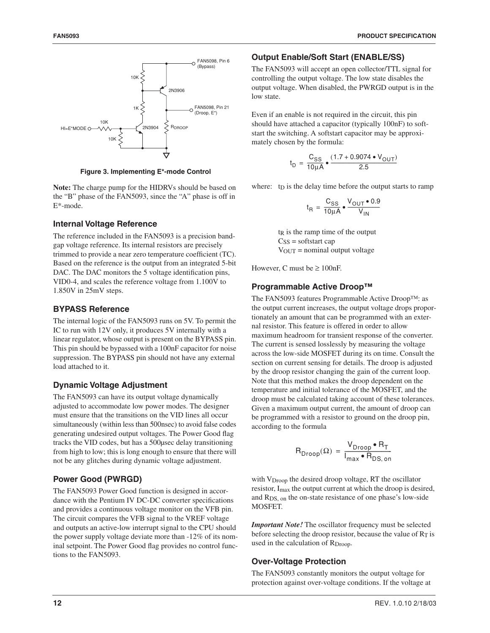

**Figure 3. Implementing E\*-mode Control**

**Note:** The charge pump for the HIDRVs should be based on the "B" phase of the FAN5093, since the "A" phase is off in E\*-mode.

#### **Internal Voltage Reference**

The reference included in the FAN5093 is a precision bandgap voltage reference. Its internal resistors are precisely trimmed to provide a near zero temperature coefficient (TC). Based on the reference is the output from an integrated 5-bit DAC. The DAC monitors the 5 voltage identification pins, VID0-4, and scales the reference voltage from 1.100V to 1.850V in 25mV steps.

#### **BYPASS Reference**

The internal logic of the FAN5093 runs on 5V. To permit the IC to run with 12V only, it produces 5V internally with a linear regulator, whose output is present on the BYPASS pin. This pin should be bypassed with a 100nF capacitor for noise suppression. The BYPASS pin should not have any external load attached to it.

#### **Dynamic Voltage Adjustment**

The FAN5093 can have its output voltage dynamically adjusted to accommodate low power modes. The designer must ensure that the transitions on the VID lines all occur simultaneously (within less than 500nsec) to avoid false codes generating undesired output voltages. The Power Good flag tracks the VID codes, but has a 500µsec delay transitioning from high to low; this is long enough to ensure that there will not be any glitches during dynamic voltage adjustment.

#### **Power Good (PWRGD)**

The FAN5093 Power Good function is designed in accordance with the Pentium IV DC-DC converter specifications and provides a continuous voltage monitor on the VFB pin. The circuit compares the VFB signal to the VREF voltage and outputs an active-low interrupt signal to the CPU should the power supply voltage deviate more than -12% of its nominal setpoint. The Power Good flag provides no control functions to the FAN5093.

#### **Output Enable/Soft Start (ENABLE/SS)**

The FAN5093 will accept an open collector/TTL signal for controlling the output voltage. The low state disables the output voltage. When disabled, the PWRGD output is in the low state.

Even if an enable is not required in the circuit, this pin should have attached a capacitor (typically 100nF) to softstart the switching. A softstart capacitor may be approximately chosen by the formula:

$$
t_{D} = \frac{C_{SS}}{10\mu A} \cdot \frac{(1.7 + 0.9074 \cdot V_{OUT})}{2.5}
$$

where:  $t_D$  is the delay time before the output starts to ramp

$$
t_{\rm R} = \frac{C_{\rm SS}}{10\mu A} \cdot \frac{V_{\rm OUT} \cdot 0.9}{V_{\rm IN}}
$$

 $t<sub>R</sub>$  is the ramp time of the output  $C_{SS}$  = softstart cap VOUT = nominal output voltage

However, C must be  $\geq 100$ nF.

#### **Programmable Active Droop™**

The FAN5093 features Programmable Active Droop™: as the output current increases, the output voltage drops proportionately an amount that can be programmed with an external resistor. This feature is offered in order to allow maximum headroom for transient response of the converter. The current is sensed losslessly by measuring the voltage across the low-side MOSFET during its on time. Consult the section on current sensing for details. The droop is adjusted by the droop resistor changing the gain of the current loop. Note that this method makes the droop dependent on the temperature and initial tolerance of the MOSFET, and the droop must be calculated taking account of these tolerances. Given a maximum output current, the amount of droop can be programmed with a resistor to ground on the droop pin, according to the formula

$$
R_{\text{Drop}}(\Omega) = \frac{V_{\text{Drop}} \cdot R_T}{I_{\text{max}} \cdot R_{\text{DS},\text{on}}}
$$

with  $V_{\text{Drop}}$  the desired droop voltage, RT the oscillator resistor, Imax the output current at which the droop is desired, and RDS, on the on-state resistance of one phase's low-side MOSFET.

*Important Note!* The oscillator frequency must be selected before selecting the droop resistor, because the value of  $R_T$  is used in the calculation of R<sub>Droop</sub>.

#### **Over-Voltage Protection**

The FAN5093 constantly monitors the output voltage for protection against over-voltage conditions. If the voltage at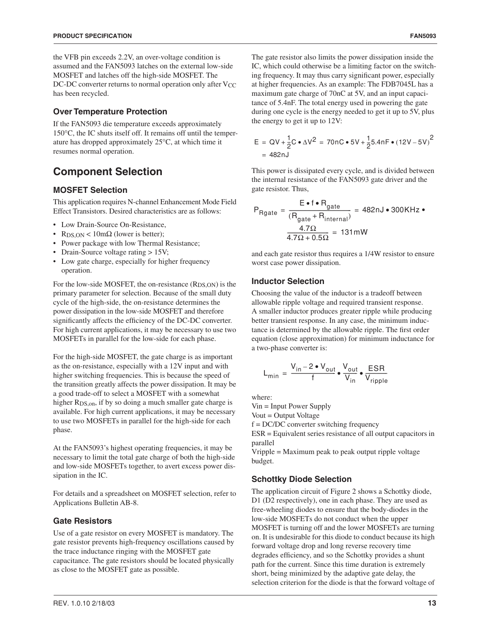the VFB pin exceeds 2.2V, an over-voltage condition is assumed and the FAN5093 latches on the external low-side MOSFET and latches off the high-side MOSFET. The DC-DC converter returns to normal operation only after  $V_{CC}$ has been recycled.

#### **Over Temperature Protection**

If the FAN5093 die temperature exceeds approximately 150°C, the IC shuts itself off. It remains off until the temperature has dropped approximately 25°C, at which time it resumes normal operation.

## **Component Selection**

#### **MOSFET Selection**

This application requires N-channel Enhancement Mode Field Effect Transistors. Desired characteristics are as follows:

- Low Drain-Source On-Resistance,
- R<sub>DS,ON</sub> <  $10m\Omega$  (lower is better);
- Power package with low Thermal Resistance;
- Drain-Source voltage rating > 15V;
- Low gate charge, especially for higher frequency operation.

For the low-side MOSFET, the on-resistance (R<sub>DS,ON</sub>) is the primary parameter for selection. Because of the small duty cycle of the high-side, the on-resistance determines the power dissipation in the low-side MOSFET and therefore significantly affects the efficiency of the DC-DC converter. For high current applications, it may be necessary to use two MOSFETs in parallel for the low-side for each phase.

For the high-side MOSFET, the gate charge is as important as the on-resistance, especially with a 12V input and with higher switching frequencies. This is because the speed of the transition greatly affects the power dissipation. It may be a good trade-off to select a MOSFET with a somewhat higher R<sub>DS, on</sub>, if by so doing a much smaller gate charge is available. For high current applications, it may be necessary to use two MOSFETs in parallel for the high-side for each phase.

At the FAN5093's highest operating frequencies, it may be necessary to limit the total gate charge of both the high-side and low-side MOSFETs together, to avert excess power dissipation in the IC.

For details and a spreadsheet on MOSFET selection, refer to Applications Bulletin AB-8.

#### **Gate Resistors**

Use of a gate resistor on every MOSFET is mandatory. The gate resistor prevents high-frequency oscillations caused by the trace inductance ringing with the MOSFET gate capacitance. The gate resistors should be located physically as close to the MOSFET gate as possible.

The gate resistor also limits the power dissipation inside the IC, which could otherwise be a limiting factor on the switching frequency. It may thus carry significant power, especially at higher frequencies. As an example: The FDB7045L has a maximum gate charge of 70nC at 5V, and an input capacitance of 5.4nF. The total energy used in powering the gate during one cycle is the energy needed to get it up to 5V, plus the energy to get it up to 12V:

$$
E = QV + \frac{1}{2}C \cdot \Delta V^2 = 70nC \cdot 5V + \frac{1}{2}5.4nF \cdot (12V - 5V)^2
$$
  
= 482nJ

This power is dissipated every cycle, and is divided between the internal resistance of the FAN5093 gate driver and the gate resistor. Thus,

$$
P_{\text{Rgate}} = \frac{E \cdot f \cdot R_{\text{gate}}}{(R_{\text{gate}} + R_{\text{internal}})} = 482 \text{ nJ} \cdot 300 \text{ KHz} \cdot \frac{4.7 \Omega}{4.7 \Omega + 0.5 \Omega} = 131 \text{ mW}
$$

and each gate resistor thus requires a 1/4W resistor to ensure worst case power dissipation.

#### **Inductor Selection**

Choosing the value of the inductor is a tradeoff between allowable ripple voltage and required transient response. A smaller inductor produces greater ripple while producing better transient response. In any case, the minimum inductance is determined by the allowable ripple. The first order equation (close approximation) for minimum inductance for a two-phase converter is:

$$
L_{\min} = \frac{V_{\text{in}} - 2 \cdot V_{\text{out}}}{f} \cdot \frac{V_{\text{out}}}{V_{\text{in}}} \cdot \frac{\text{ESR}}{V_{\text{ripple}}}
$$

where:

Vin = Input Power Supply

Vout = Output Voltage

f = DC/DC converter switching frequency

ESR = Equivalent series resistance of all output capacitors in parallel

Vripple = Maximum peak to peak output ripple voltage budget.

## **Schottky Diode Selection**

The application circuit of Figure 2 shows a Schottky diode, D1 (D2 respectively), one in each phase. They are used as free-wheeling diodes to ensure that the body-diodes in the low-side MOSFETs do not conduct when the upper MOSFET is turning off and the lower MOSFETs are turning on. It is undesirable for this diode to conduct because its high forward voltage drop and long reverse recovery time degrades efficiency, and so the Schottky provides a shunt path for the current. Since this time duration is extremely short, being minimized by the adaptive gate delay, the selection criterion for the diode is that the forward voltage of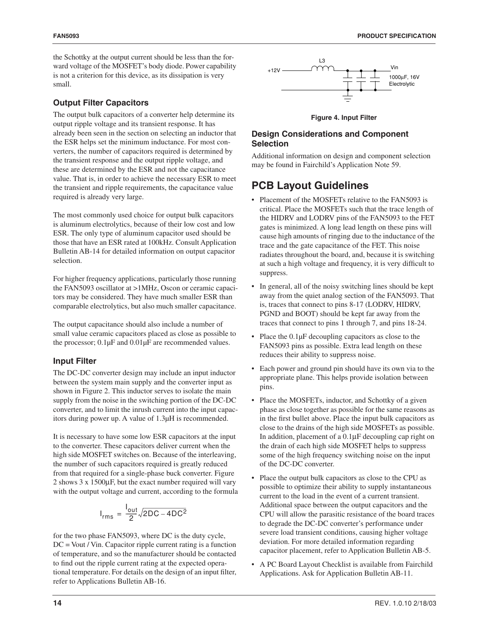the Schottky at the output current should be less than the forward voltage of the MOSFET's body diode. Power capability is not a criterion for this device, as its dissipation is very small.

#### **Output Filter Capacitors**

The output bulk capacitors of a converter help determine its output ripple voltage and its transient response. It has already been seen in the section on selecting an inductor that the ESR helps set the minimum inductance. For most converters, the number of capacitors required is determined by the transient response and the output ripple voltage, and these are determined by the ESR and not the capacitance value. That is, in order to achieve the necessary ESR to meet the transient and ripple requirements, the capacitance value required is already very large.

The most commonly used choice for output bulk capacitors is aluminum electrolytics, because of their low cost and low ESR. The only type of aluminum capacitor used should be those that have an ESR rated at 100kHz. Consult Application Bulletin AB-14 for detailed information on output capacitor selection.

For higher frequency applications, particularly those running the FAN5093 oscillator at >1MHz, Oscon or ceramic capacitors may be considered. They have much smaller ESR than comparable electrolytics, but also much smaller capacitance.

The output capacitance should also include a number of small value ceramic capacitors placed as close as possible to the processor; 0.1µF and 0.01µF are recommended values.

#### **Input Filter**

The DC-DC converter design may include an input inductor between the system main supply and the converter input as shown in Figure 2. This inductor serves to isolate the main supply from the noise in the switching portion of the DC-DC converter, and to limit the inrush current into the input capacitors during power up. A value of 1.3µH is recommended.

It is necessary to have some low ESR capacitors at the input to the converter. These capacitors deliver current when the high side MOSFET switches on. Because of the interleaving, the number of such capacitors required is greatly reduced from that required for a single-phase buck converter. Figure 2 shows 3 x 1500µF, but the exact number required will vary with the output voltage and current, according to the formula

$$
I_{rms} = \frac{I_{out}}{2} \sqrt{2DC - 4DC^2}
$$

for the two phase FAN5093, where DC is the duty cycle, DC = Vout / Vin. Capacitor ripple current rating is a function of temperature, and so the manufacturer should be contacted to find out the ripple current rating at the expected operational temperature. For details on the design of an input filter, refer to Applications Bulletin AB-16.



**Figure 4. Input Filter**

#### **Design Considerations and Component Selection**

Additional information on design and component selection may be found in Fairchild's Application Note 59.

## **PCB Layout Guidelines**

- Placement of the MOSFETs relative to the FAN5093 is critical. Place the MOSFETs such that the trace length of the HIDRV and LODRV pins of the FAN5093 to the FET gates is minimized. A long lead length on these pins will cause high amounts of ringing due to the inductance of the trace and the gate capacitance of the FET. This noise radiates throughout the board, and, because it is switching at such a high voltage and frequency, it is very difficult to suppress.
- In general, all of the noisy switching lines should be kept away from the quiet analog section of the FAN5093. That is, traces that connect to pins 8-17 (LODRV, HIDRV, PGND and BOOT) should be kept far away from the traces that connect to pins 1 through 7, and pins 18-24.
- Place the 0.1µF decoupling capacitors as close to the FAN5093 pins as possible. Extra lead length on these reduces their ability to suppress noise.
- Each power and ground pin should have its own via to the appropriate plane. This helps provide isolation between pins.
- Place the MOSFETs, inductor, and Schottky of a given phase as close together as possible for the same reasons as in the first bullet above. Place the input bulk capacitors as close to the drains of the high side MOSFETs as possible. In addition, placement of a 0.1µF decoupling cap right on the drain of each high side MOSFET helps to suppress some of the high frequency switching noise on the input of the DC-DC converter.
- Place the output bulk capacitors as close to the CPU as possible to optimize their ability to supply instantaneous current to the load in the event of a current transient. Additional space between the output capacitors and the CPU will allow the parasitic resistance of the board traces to degrade the DC-DC converter's performance under severe load transient conditions, causing higher voltage deviation. For more detailed information regarding capacitor placement, refer to Application Bulletin AB-5.
- A PC Board Layout Checklist is available from Fairchild Applications. Ask for Application Bulletin AB-11.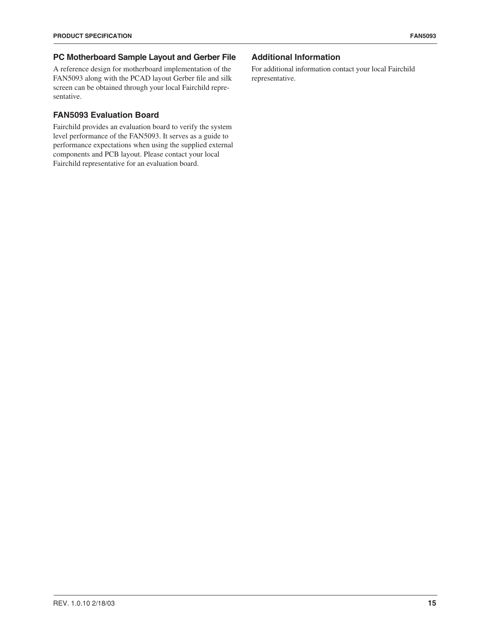#### **PC Motherboard Sample Layout and Gerber File**

A reference design for motherboard implementation of the FAN5093 along with the PCAD layout Gerber file and silk screen can be obtained through your local Fairchild representative.

#### **FAN5093 Evaluation Board**

Fairchild provides an evaluation board to verify the system level performance of the FAN5093. It serves as a guide to performance expectations when using the supplied external components and PCB layout. Please contact your local Fairchild representative for an evaluation board.

#### **Additional Information**

For additional information contact your local Fairchild representative.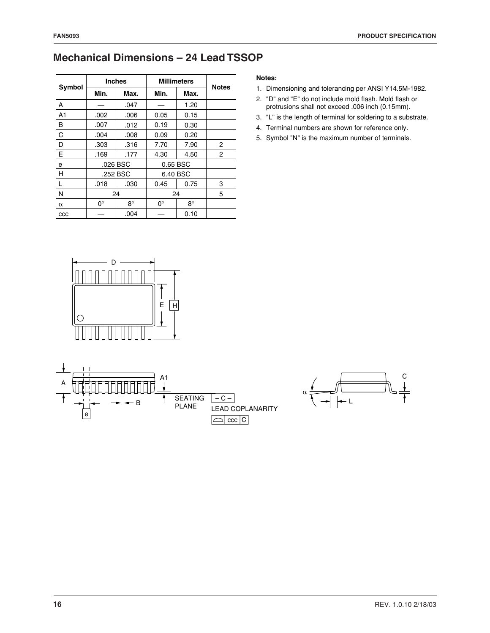# **Mechanical Dimensions – 24 Lead TSSOP**

|                | <b>Inches</b> |           | <b>Millimeters</b> | <b>Notes</b> |              |
|----------------|---------------|-----------|--------------------|--------------|--------------|
| Symbol         | Min.          | Max.      | Min.               | Max.         |              |
| Α              |               | .047      |                    | 1.20         |              |
| A <sub>1</sub> | .002          | .006      | 0.05               | 0.15         |              |
| B              | .007          | .012      | 0.19               | 0.30         |              |
| $\mathsf{C}$   | .004          | .008      | 0.09               | 0.20         |              |
| D              | .303          | .316      | 7.70               | 7.90         | $\mathbf{2}$ |
| E              | .169          | .177      | 4.30               | 4.50         | 2            |
| e              | .026 BSC      |           | 0.65 BSC           |              |              |
| H              |               | .252 BSC  |                    | 6.40 BSC     |              |
| $\mathbf{L}$   | .018          | .030      | 0.45               | 0.75         | 3            |
| N              | 24            |           |                    | 24           | 5            |
| $\alpha$       | $0^{\circ}$   | $8^\circ$ | 0°                 | 8°           |              |
| CCC            |               | .004      |                    | 0.10         |              |

#### **Notes:**

- 1. Dimensioning and tolerancing per ANSI Y14.5M-1982.
- 2. "D" and "E" do not include mold flash. Mold flash or protrusions shall not exceed .006 inch (0.15mm).
- 3. "L" is the length of terminal for soldering to a substrate.
- 4. Terminal numbers are shown for reference only.
- 5. Symbol "N" is the maximum number of terminals.